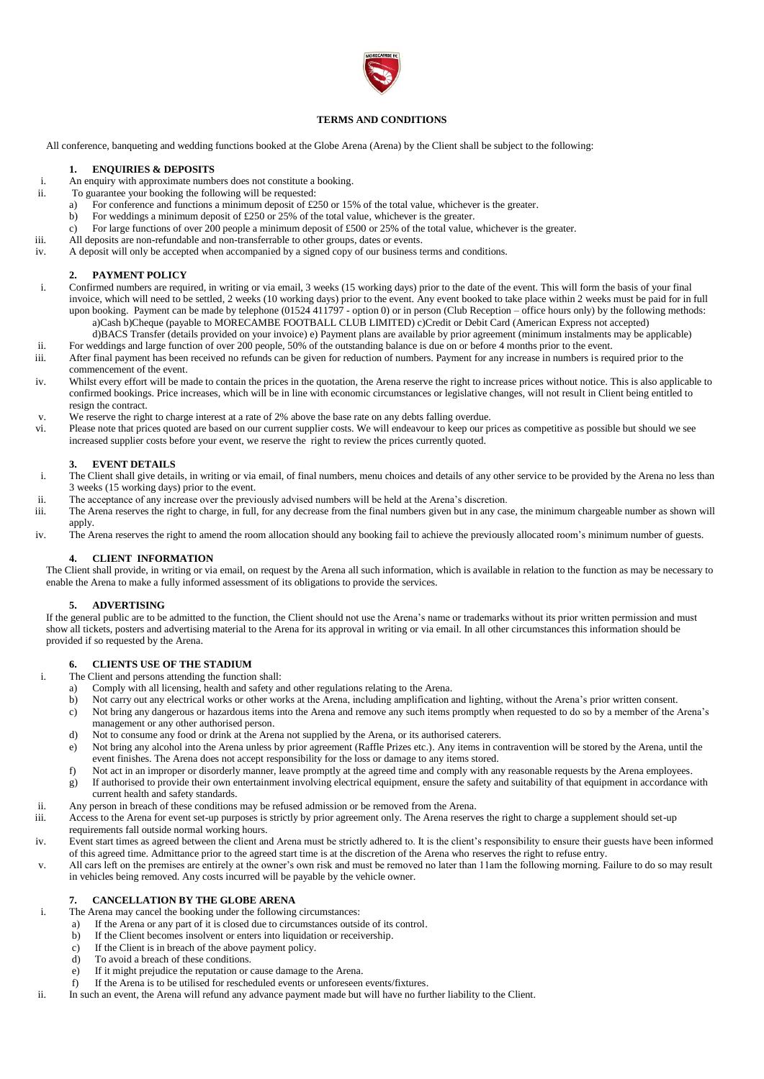

### **TERMS AND CONDITIONS**

All conference, banqueting and wedding functions booked at the Globe Arena (Arena) by the Client shall be subject to the following:

#### **1. ENQUIRIES & DEPOSITS**

- i. An enquiry with approximate numbers does not constitute a booking.
- ii. To guarantee your booking the following will be requested:
	- a) For conference and functions a minimum deposit of £250 or 15% of the total value, whichever is the greater.
	- b) For weddings a minimum deposit of £250 or 25% of the total value, whichever is the greater.
	- c) For large functions of over 200 people a minimum deposit of £500 or 25% of the total value, whichever is the greater.
- iii. All deposits are non-refundable and non-transferrable to other groups, dates or events.
- iv. A deposit will only be accepted when accompanied by a signed copy of our business terms and conditions.

### **2. PAYMENT POLICY**

- i. Confirmed numbers are required, in writing or via email, 3 weeks (15 working days) prior to the date of the event. This will form the basis of your final invoice, which will need to be settled, 2 weeks (10 working days) prior to the event. Any event booked to take place within 2 weeks must be paid for in full upon booking. Payment can be made by telephone (01524 411797 - option 0) or in person (Club Reception – office hours only) by the following methods: a)Cash b)Cheque (payable to MORECAMBE FOOTBALL CLUB LIMITED) c)Credit or Debit Card (American Express not accepted)
- d)BACS Transfer (details provided on your invoice) e) Payment plans are available by prior agreement (minimum instalments may be applicable) ii. For weddings and large function of over 200 people, 50% of the outstanding balance is due on or before 4 months prior to the event.
- iii. After final payment has been received no refunds can be given for reduction of numbers. Payment for any increase in numbers is required prior to the commencement of the event.
- iv. Whilst every effort will be made to contain the prices in the quotation, the Arena reserve the right to increase prices without notice. This is also applicable to confirmed bookings. Price increases, which will be in line with economic circumstances or legislative changes, will not result in Client being entitled to resign the contract.
- v. We reserve the right to charge interest at a rate of 2% above the base rate on any debts falling overdue.
- vi. Please note that prices quoted are based on our current supplier costs. We will endeavour to keep our prices as competitive as possible but should we see increased supplier costs before your event, we reserve the right to review the prices currently quoted.

#### **3. EVENT DETAILS**

- i. The Client shall give details, in writing or via email, of final numbers, menu choices and details of any other service to be provided by the Arena no less than 3 weeks (15 working days) prior to the event.
- ii. The acceptance of any increase over the previously advised numbers will be held at the Arena's discretion.
- iii. The Arena reserves the right to charge, in full, for any decrease from the final numbers given but in any case, the minimum chargeable number as shown will apply.
- iv. The Arena reserves the right to amend the room allocation should any booking fail to achieve the previously allocated room's minimum number of guests.

### **4. CLIENT INFORMATION**

The Client shall provide, in writing or via email, on request by the Arena all such information, which is available in relation to the function as may be necessary to enable the Arena to make a fully informed assessment of its obligations to provide the services.

#### **5. ADVERTISING**

If the general public are to be admitted to the function, the Client should not use the Arena's name or trademarks without its prior written permission and must show all tickets, posters and advertising material to the Arena for its approval in writing or via email. In all other circumstances this information should be provided if so requested by the Arena.

#### **6. CLIENTS USE OF THE STADIUM**

- i. The Client and persons attending the function shall:
	- a) Comply with all licensing, health and safety and other regulations relating to the Arena.
	- b) Not carry out any electrical works or other works at the Arena, including amplification and lighting, without the Arena's prior written consent.
	- c) Not bring any dangerous or hazardous items into the Arena and remove any such items promptly when requested to do so by a member of the Arena's management or any other authorised person.
	- d) Not to consume any food or drink at the Arena not supplied by the Arena, or its authorised caterers.
	- e) Not bring any alcohol into the Arena unless by prior agreement (Raffle Prizes etc.). Any items in contravention will be stored by the Arena, until the event finishes. The Arena does not accept responsibility for the loss or damage to any items stored.
	- f) Not act in an improper or disorderly manner, leave promptly at the agreed time and comply with any reasonable requests by the Arena employees.
	- g) If authorised to provide their own entertainment involving electrical equipment, ensure the safety and suitability of that equipment in accordance with current health and safety standards.
- ii. Any person in breach of these conditions may be refused admission or be removed from the Arena.
- iii. Access to the Arena for event set-up purposes is strictly by prior agreement only. The Arena reserves the right to charge a supplement should set-up requirements fall outside normal working hours.
- iv. Event start times as agreed between the client and Arena must be strictly adhered to. It is the client's responsibility to ensure their guests have been informed of this agreed time. Admittance prior to the agreed start time is at the discretion of the Arena who reserves the right to refuse entry.
- v. All cars left on the premises are entirely at the owner's own risk and must be removed no later than 11am the following morning. Failure to do so may result in vehicles being removed. Any costs incurred will be payable by the vehicle owner.

#### **7. CANCELLATION BY THE GLOBE ARENA**

- i. The Arena may cancel the booking under the following circumstances:
	- a) If the Arena or any part of it is closed due to circumstances outside of its control.
	- b) If the Client becomes insolvent or enters into liquidation or receivership.
	- c) If the Client is in breach of the above payment policy.
	- d) To avoid a breach of these conditions.
	- e) If it might prejudice the reputation or cause damage to the Arena.
	- f) If the Arena is to be utilised for rescheduled events or unforeseen events/fixtures.
- ii. In such an event, the Arena will refund any advance payment made but will have no further liability to the Client.